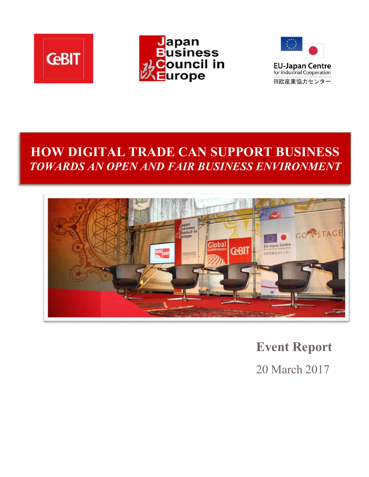





# **HOW DIGITAL TRADE CAN SUPPORT BUSINESS**  *TOWARDS AN OPEN AND FAIR BUSINESS ENVIRONMENT*



**Event Report** 

20 March 2017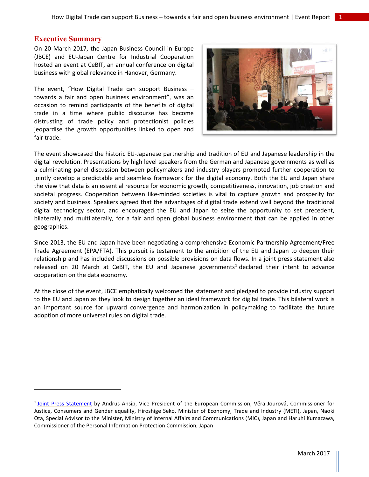### **Executive Summary**

 $\overline{\phantom{a}}$ 

On 20 March 2017, the Japan Business Council in Europe (JBCE) and EU-Japan Centre for Industrial Cooperation hosted an event at CeBIT, an annual conference on digital business with global relevance in Hanover, Germany.

The event, "How Digital Trade can support Business – towards a fair and open business environment", was an occasion to remind participants of the benefits of digital trade in a time where public discourse has become distrusting of trade policy and protectionist policies jeopardise the growth opportunities linked to open and fair trade.



The event showcased the historic EU-Japanese partnership and tradition of EU and Japanese leadership in the digital revolution. Presentations by high level speakers from the German and Japanese governments as well as a culminating panel discussion between policymakers and industry players promoted further cooperation to jointly develop a predictable and seamless framework for the digital economy. Both the EU and Japan share the view that data is an essential resource for economic growth, competitiveness, innovation, job creation and societal progress. Cooperation between like-minded societies is vital to capture growth and prosperity for society and business. Speakers agreed that the advantages of digital trade extend well beyond the traditional digital technology sector, and encouraged the EU and Japan to seize the opportunity to set precedent, bilaterally and multilaterally, for a fair and open global business environment that can be applied in other geographies.

Since 2013, the EU and Japan have been negotiating a comprehensive Economic Partnership Agreement/Free Trade Agreement (EPA/FTA). This pursuit is testament to the ambition of the EU and Japan to deepen their relationship and has included discussions on possible provisions on data flows. In a joint press statement also released on 20 March at CeBIT, the EU and Japanese governments<sup>1</sup> declared their intent to advance cooperation on the data economy.

At the close of the event, JBCE emphatically welcomed the statement and pledged to provide industry support to the EU and Japan as they look to design together an ideal framework for digital trade. This bilateral work is an important source for upward convergence and harmonization in policymaking to facilitate the future adoption of more universal rules on digital trade.

<sup>&</sup>lt;sup>1</sup> [Joint Press Statement](http://www.meti.go.jp/english/press/2017/0321_002.html) by Andrus Ansip, Vice President of the European Commission, Věra Jourová, Commissioner for Justice, Consumers and Gender equality, Hiroshige Seko, Minister of Economy, Trade and Industry (METI), Japan, Naoki Ota, Special Advisor to the Minister, Ministry of Internal Affairs and Communications (MIC), Japan and Haruhi Kumazawa, Commissioner of the Personal Information Protection Commission, Japan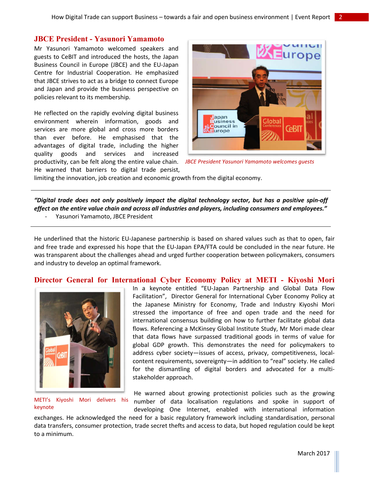#### **JBCE President - Yasunori Yamamoto**

Mr Yasunori Yamamoto welcomed speakers and guests to CeBIT and introduced the hosts, the Japan Business Council in Europe (JBCE) and the EU-Japan Centre for Industrial Cooperation. He emphasized that JBCE strives to act as a bridge to connect Europe and Japan and provide the business perspective on policies relevant to its membership.

He reflected on the rapidly evolving digital business environment wherein information, goods and services are more global and cross more borders than ever before. He emphasised that the advantages of digital trade, including the higher quality goods and services and increased productivity, can be felt along the entire value chain. He warned that barriers to digital trade persist,



*JBCE President Yasunori Yamamoto welcomes guests*

limiting the innovation, job creation and economic growth from the digital economy.

*"Digital trade does not only positively impact the digital technology sector, but has a positive spin-off effect on the entire value chain and across all industries and players, including consumers and employees."*  Yasunori Yamamoto, JBCE President

He underlined that the historic EU-Japanese partnership is based on shared values such as that to open, fair and free trade and expressed his hope that the EU-Japan EPA/FTA could be concluded in the near future. He was transparent about the challenges ahead and urged further cooperation between policymakers, consumers and industry to develop an optimal framework.

#### **Director General for International Cyber Economy Policy at METI - Kiyoshi Mori**



METI's Kiyoshi Mori delivers his keynote

In a keynote entitled "EU-Japan Partnership and Global Data Flow Facilitation", Director General for International Cyber Economy Policy at the Japanese Ministry for Economy, Trade and Industry Kiyoshi Mori stressed the importance of free and open trade and the need for international consensus building on how to further facilitate global data flows. Referencing a McKinsey Global Institute Study, Mr Mori made clear that data flows have surpassed traditional goods in terms of value for global GDP growth. This demonstrates the need for policymakers to address cyber society—issues of access, privacy, competitiveness, localcontent requirements, sovereignty—in addition to "real" society. He called for the dismantling of digital borders and advocated for a multistakeholder approach.

He warned about growing protectionist policies such as the growing number of data localisation regulations and spoke in support of developing One Internet, enabled with international information

exchanges. He acknowledged the need for a basic regulatory framework including standardisation, personal data transfers, consumer protection, trade secret thefts and access to data, but hoped regulation could be kept to a minimum.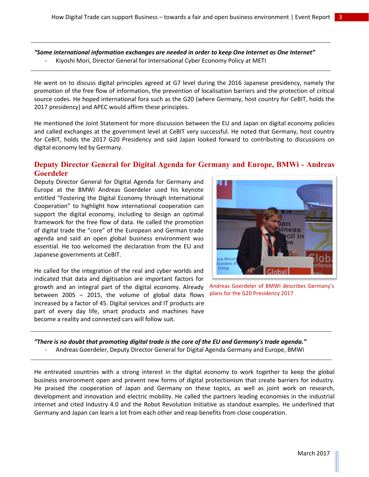*"Some international information exchanges are needed in order to keep One Internet as One Internet"*  - Kiyoshi Mori, Director General for International Cyber Economy Policy at METI

He went on to discuss digital principles agreed at G7 level during the 2016 Japanese presidency, namely the promotion of the free flow of information, the prevention of localisation barriers and the protection of critical source codes. He hoped international fora such as the G20 (where Germany, host country for CeBIT, holds the 2017 presidency) and APEC would affirm these principles.

He mentioned the Joint Statement for more discussion between the EU and Japan on digital economy policies and called exchanges at the government level at CeBIT very successful. He noted that Germany, host country for CeBIT, holds the 2017 G20 Presidency and said Japan looked forward to contributing to discussions on digital economy led by Germany.

# **Deputy Director General for Digital Agenda for Germany and Europe, BMWi - Andreas Goerdeler**

Deputy Director General for Digital Agenda for Germany and Europe at the BMWi Andreas Goerdeler used his keynote entitled "Fostering the Digital Economy through International Cooperation" to highlight how international cooperation can support the digital economy, including to design an optimal framework for the free flow of data. He called the promotion of digital trade the "core" of the European and German trade agenda and said an open global business environment was essential. He too welcomed the declaration from the EU and Japanese governments at CeBIT.

He called for the integration of the real and cyber worlds and indicated that data and digitisation are important factors for growth and an integral part of the digital economy. Already between 2005 – 2015, the volume of global data flows increased by a factor of 45. Digital services and IT products are part of every day life, smart products and machines have become a reality and connected cars will follow suit.



Andreas Goerdeler of BMWi describes Germany's plans for the G20 Presidency 2017

*"There is no doubt that promoting digital trade is the core of the EU and Germany's trade agenda."* 

- Andreas Goerdeler, Deputy Director General for Digital Agenda Germany and Europe, BMWi

He entreated countries with a strong interest in the digital economy to work together to keep the global business environment open and prevent new forms of digital protectionism that create barriers for industry. He praised the cooperation of Japan and Germany on these topics, as well as joint work on research, development and innovation and electric mobility. He called the partners leading economies in the industrial internet and cited Industry 4.0 and the Robot Revolution Initiative as standout examples. He underlined that Germany and Japan can learn a lot from each other and reap benefits from close cooperation.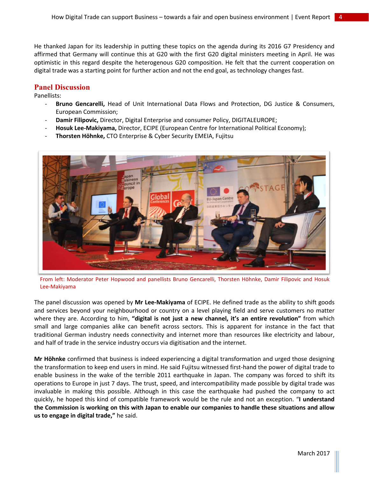He thanked Japan for its leadership in putting these topics on the agenda during its 2016 G7 Presidency and affirmed that Germany will continue this at G20 with the first G20 digital ministers meeting in April. He was optimistic in this regard despite the heterogenous G20 composition. He felt that the current cooperation on digital trade was a starting point for further action and not the end goal, as technology changes fast.

## **Panel Discussion**

Panellists:

- **Bruno Gencarelli,** Head of Unit International Data Flows and Protection, DG Justice & Consumers, European Commission;
- **Damir Filipovic,** Director, Digital Enterprise and consumer Policy, DIGITALEUROPE;
- **Hosuk Lee-Makiyama,** Director, ECIPE (European Centre for International Political Economy);
- **Thorsten Höhnke,** CTO Enterprise & Cyber Security EMEIA, Fujitsu



From left: Moderator Peter Hopwood and panellists Bruno Gencarelli, Thorsten Höhnke, Damir Filipovic and Hosuk Lee-Makiyama

The panel discussion was opened by **Mr Lee-Makiyama** of ECIPE. He defined trade as the ability to shift goods and services beyond your neighbourhood or country on a level playing field and serve customers no matter where they are. According to him, **"digital is not just a new channel, it's an entire revolution"** from which small and large companies alike can benefit across sectors. This is apparent for instance in the fact that traditional German industry needs connectivity and internet more than resources like electricity and labour, and half of trade in the service industry occurs via digitisation and the internet.

**Mr Höhnke** confirmed that business is indeed experiencing a digital transformation and urged those designing the transformation to keep end users in mind. He said Fujitsu witnessed first-hand the power of digital trade to enable business in the wake of the terrible 2011 earthquake in Japan. The company was forced to shift its operations to Europe in just 7 days. The trust, speed, and intercompatibility made possible by digital trade was invaluable in making this possible. Although in this case the earthquake had pushed the company to act quickly, he hoped this kind of compatible framework would be the rule and not an exception. "**I understand the Commission is working on this with Japan to enable our companies to handle these situations and allow us to engage in digital trade,"** he said.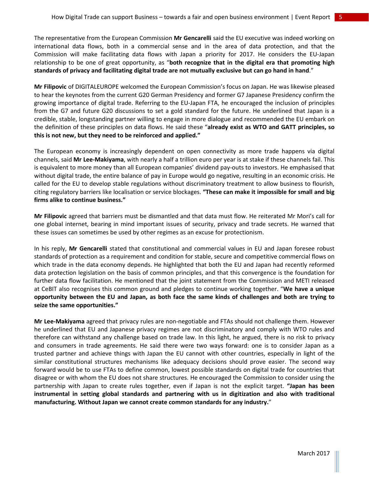The representative from the European Commission **Mr Gencarelli** said the EU executive was indeed working on international data flows, both in a commercial sense and in the area of data protection, and that the Commission will make facilitating data flows with Japan a priority for 2017. He considers the EU-Japan relationship to be one of great opportunity, as "**both recognize that in the digital era that promoting high standards of privacy and facilitating digital trade are not mutually exclusive but can go hand in hand**."

**Mr Filipovic** of DIGITALEUROPE welcomed the European Commission's focus on Japan. He was likewise pleased to hear the keynotes from the current G20 German Presidency and former G7 Japanese Presidency confirm the growing importance of digital trade. Referring to the EU-Japan FTA, he encouraged the inclusion of principles from the G7 and future G20 discussions to set a gold standard for the future. He underlined that Japan is a credible, stable, longstanding partner willing to engage in more dialogue and recommended the EU embark on the definition of these principles on data flows. He said these "**already exist as WTO and GATT principles, so this is not new, but they need to be reinforced and applied."**

The European economy is increasingly dependent on open connectivity as more trade happens via digital channels, said **Mr Lee-Makiyama**, with nearly a half a trillion euro per year is at stake if these channels fail. This is equivalent to more money than all European companies' dividend pay-outs to investors. He emphasised that without digital trade, the entire balance of pay in Europe would go negative, resulting in an economic crisis. He called for the EU to develop stable regulations without discriminatory treatment to allow business to flourish, citing regulatory barriers like localisation or service blockages. **"These can make it impossible for small and big firms alike to continue business."**

**Mr Filipovic** agreed that barriers must be dismantled and that data must flow. He reiterated Mr Mori's call for one global internet, bearing in mind important issues of security, privacy and trade secrets. He warned that these issues can sometimes be used by other regimes as an excuse for protectionism.

In his reply, **Mr Gencarelli** stated that constitutional and commercial values in EU and Japan foresee robust standards of protection as a requirement and condition for stable, secure and competitive commercial flows on which trade in the data economy depends. He highlighted that both the EU and Japan had recently reformed data protection legislation on the basis of common principles, and that this convergence is the foundation for further data flow facilitation. He mentioned that the joint statement from the Commission and METI released at CeBIT also recognises this common ground and pledges to continue working together. "**We have a unique opportunity between the EU and Japan, as both face the same kinds of challenges and both are trying to seize the same opportunities."** 

**Mr Lee-Makiyama** agreed that privacy rules are non-negotiable and FTAs should not challenge them. However he underlined that EU and Japanese privacy regimes are not discriminatory and comply with WTO rules and therefore can withstand any challenge based on trade law. In this light, he argued, there is no risk to privacy and consumers in trade agreements. He said there were two ways forward: one is to consider Japan as a trusted partner and achieve things with Japan the EU cannot with other countries, especially in light of the similar constitutional structures mechanisms like adequacy decisions should prove easier. The second way forward would be to use FTAs to define common, lowest possible standards on digital trade for countries that disagree or with whom the EU does not share structures. He encouraged the Commission to consider using the partnership with Japan to create rules together, even if Japan is not the explicit target. **"Japan has been instrumental in setting global standards and partnering with us in digitization and also with traditional manufacturing. Without Japan we cannot create common standards for any industry.**"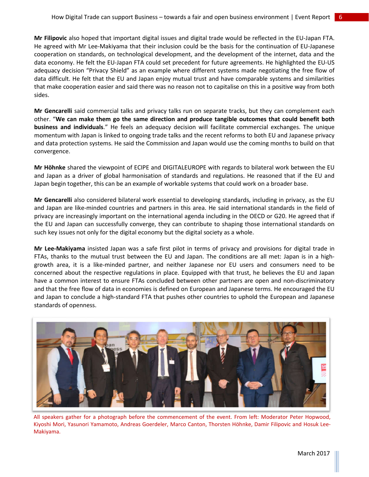**Mr Filipovic** also hoped that important digital issues and digital trade would be reflected in the EU-Japan FTA. He agreed with Mr Lee-Makiyama that their inclusion could be the basis for the continuation of EU-Japanese cooperation on standards, on technological development, and the development of the internet, data and the data economy. He felt the EU-Japan FTA could set precedent for future agreements. He highlighted the EU-US adequacy decision "Privacy Shield" as an example where different systems made negotiating the free flow of data difficult. He felt that the EU and Japan enjoy mutual trust and have comparable systems and similarities that make cooperation easier and said there was no reason not to capitalise on this in a positive way from both sides.

**Mr Gencarelli** said commercial talks and privacy talks run on separate tracks, but they can complement each other. "**We can make them go the same direction and produce tangible outcomes that could benefit both business and individuals**." He feels an adequacy decision will facilitate commercial exchanges. The unique momentum with Japan is linked to ongoing trade talks and the recent reforms to both EU and Japanese privacy and data protection systems. He said the Commission and Japan would use the coming months to build on that convergence.

**Mr Höhnke** shared the viewpoint of ECIPE and DIGITALEUROPE with regards to bilateral work between the EU and Japan as a driver of global harmonisation of standards and regulations. He reasoned that if the EU and Japan begin together, this can be an example of workable systems that could work on a broader base.

**Mr Gencarelli** also considered bilateral work essential to developing standards, including in privacy, as the EU and Japan are like-minded countries and partners in this area. He said international standards in the field of privacy are increasingly important on the international agenda including in the OECD or G20. He agreed that if the EU and Japan can successfully converge, they can contribute to shaping those international standards on such key issues not only for the digital economy but the digital society as a whole.

**Mr Lee-Makiyama** insisted Japan was a safe first pilot in terms of privacy and provisions for digital trade in FTAs, thanks to the mutual trust between the EU and Japan. The conditions are all met: Japan is in a highgrowth area, it is a like-minded partner, and neither Japanese nor EU users and consumers need to be concerned about the respective regulations in place. Equipped with that trust, he believes the EU and Japan have a common interest to ensure FTAs concluded between other partners are open and non-discriminatory and that the free flow of data in economies is defined on European and Japanese terms. He encouraged the EU and Japan to conclude a high-standard FTA that pushes other countries to uphold the European and Japanese standards of openness.



All speakers gather for a photograph before the commencement of the event. From left: Moderator Peter Hopwood, Kiyoshi Mori, Yasunori Yamamoto, Andreas Goerdeler, Marco Canton, Thorsten Höhnke, Damir Filipovic and Hosuk Lee-Makiyama.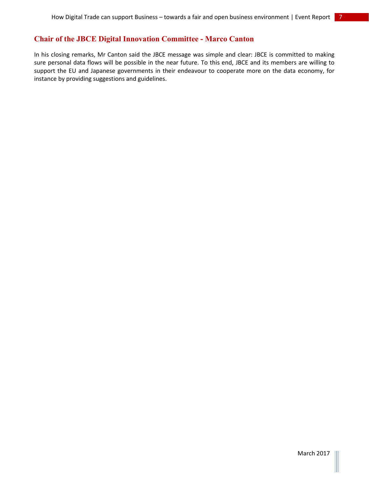# **Chair of the JBCE Digital Innovation Committee - Marco Canton**

In his closing remarks, Mr Canton said the JBCE message was simple and clear: JBCE is committed to making sure personal data flows will be possible in the near future. To this end, JBCE and its members are willing to support the EU and Japanese governments in their endeavour to cooperate more on the data economy, for instance by providing suggestions and guidelines.